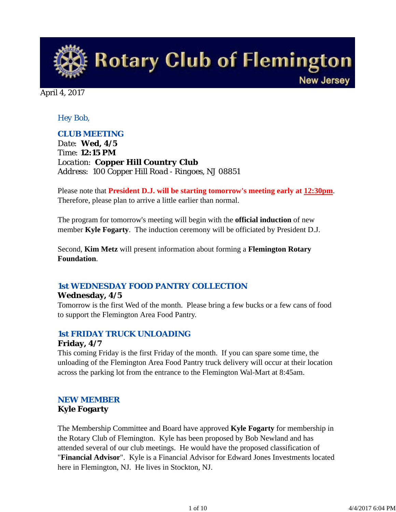**Rotary Club of Flemington New Jersey** 

April 4, 2017

## *Hey Bob,*

## *CLUB MEETING*

*Date: Wed, 4/5 Time: 12:15 PM Location: Copper Hill Country Club Address: 100 Copper Hill Road - Ringoes, NJ 08851*

Please note that **President D.J. will be starting tomorrow's meeting early at 12:30pm**. Therefore, please plan to arrive a little earlier than normal.

The program for tomorrow's meeting will begin with the **official induction** of new member **Kyle Fogarty**. The induction ceremony will be officiated by President D.J.

Second, **Kim Metz** will present information about forming a **Flemington Rotary Foundation**.

## *1st WEDNESDAY FOOD PANTRY COLLECTION*

### **Wednesday, 4/5**

Tomorrow is the first Wed of the month. Please bring a few bucks or a few cans of food to support the Flemington Area Food Pantry.

## *1st FRIDAY TRUCK UNLOADING* **Friday, 4/7**

This coming Friday is the first Friday of the month. If you can spare some time, the unloading of the Flemington Area Food Pantry truck delivery will occur at their location across the parking lot from the entrance to the Flemington Wal-Mart at 8:45am.

## *NEW MEMBER*

### **Kyle Fogarty**

The Membership Committee and Board have approved **Kyle Fogarty** for membership in the Rotary Club of Flemington. Kyle has been proposed by Bob Newland and has attended several of our club meetings. He would have the proposed classification of "**Financial Advisor**". Kyle is a Financial Advisor for Edward Jones Investments located here in Flemington, NJ. He lives in Stockton, NJ.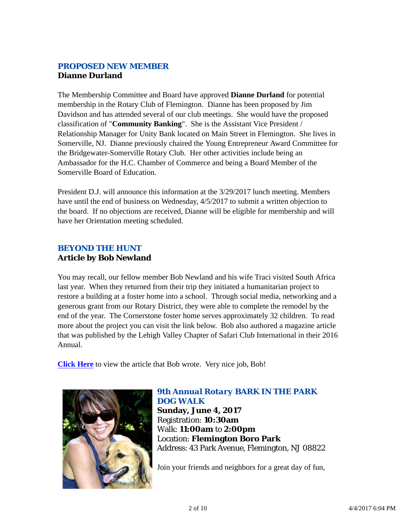## *PROPOSED NEW MEMBER* **Dianne Durland**

The Membership Committee and Board have approved **Dianne Durland** for potential membership in the Rotary Club of Flemington. Dianne has been proposed by Jim Davidson and has attended several of our club meetings. She would have the proposed classification of "**Community Banking**". She is the Assistant Vice President / Relationship Manager for Unity Bank located on Main Street in Flemington. She lives in Somerville, NJ. Dianne previously chaired the Young Entrepreneur Award Committee for the Bridgewater-Somerville Rotary Club. Her other activities include being an Ambassador for the H.C. Chamber of Commerce and being a Board Member of the Somerville Board of Education.

President D.J. will announce this information at the 3/29/2017 lunch meeting. Members have until the end of business on Wednesday, 4/5/2017 to submit a written objection to the board. If no objections are received, Dianne will be eligible for membership and will have her Orientation meeting scheduled.

## *BEYOND THE HUNT* **Article by Bob Newland**

You may recall, our fellow member Bob Newland and his wife Traci visited South Africa last year. When they returned from their trip they initiated a humanitarian project to restore a building at a foster home into a school. Through social media, networking and a generous grant from our Rotary District, they were able to complete the remodel by the end of the year. The Cornerstone foster home serves approximately 32 children. To read more about the project you can visit the link below. Bob also authored a magazine article that was published by the Lehigh Valley Chapter of Safari Club International in their 2016 Annual.

**Click Here** to view the article that Bob wrote. Very nice job, Bob!



### *9th Annual Rotary BARK IN THE PARK DOG WALK* **Sunday, June 4, 2017** Registration: **10:30am** Walk: **11:00am** to **2:00pm**

Location: **Flemington Boro Park** Address: 43 Park Avenue, Flemington, NJ 08822

Join your friends and neighbors for a great day of fun,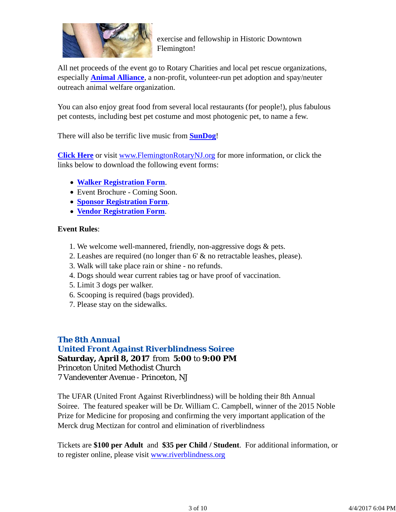

exercise and fellowship in Historic Downtown Flemington!

All net proceeds of the event go to Rotary Charities and local pet rescue organizations, especially **Animal Alliance**, a non-profit, volunteer-run pet adoption and spay/neuter outreach animal welfare organization.

You can also enjoy great food from several local restaurants (for people!), plus fabulous pet contests, including best pet costume and most photogenic pet, to name a few.

There will also be terrific live music from **SunDog**!

**Click Here** or visit www.FlemingtonRotaryNJ.org for more information, or click the links below to download the following event forms:

- **Walker Registration Form**.
- Event Brochure Coming Soon.
- **Sponsor Registration Form**.
- **Vendor Registration Form**.

### **Event Rules**:

- 1. We welcome well-mannered, friendly, non-aggressive dogs & pets.
- 2. Leashes are required (no longer than 6' & no retractable leashes, please).
- 3. Walk will take place rain or shine no refunds.
- 4. Dogs should wear current rabies tag or have proof of vaccination.
- 5. Limit 3 dogs per walker.
- 6. Scooping is required (bags provided).
- 7. Please stay on the sidewalks.

## *The 8th Annual*

*United Front Against Riverblindness Soiree* **Saturday, April 8, 2017** from **5:00** to **9:00 PM** Princeton United Methodist Church 7 Vandeventer Avenue - Princeton, NJ

The UFAR (United Front Against Riverblindness) will be holding their 8th Annual Soiree. The featured speaker will be Dr. William C. Campbell, winner of the 2015 Noble Prize for Medicine for proposing and confirming the very important application of the Merck drug Mectizan for control and elimination of riverblindness

Tickets are **\$100 per Adult** and **\$35 per Child / Student**. For additional information, or to register online, please visit www.riverblindness.org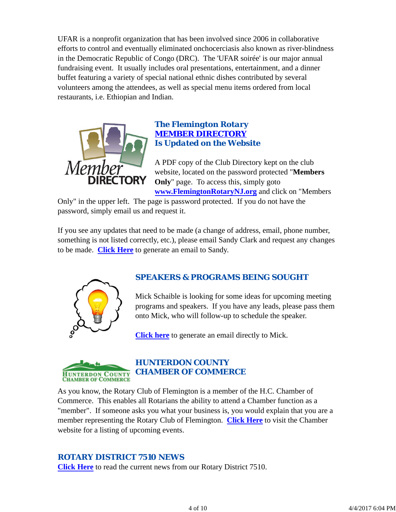UFAR is a nonprofit organization that has been involved since 2006 in collaborative efforts to control and eventually eliminated onchocerciasis also known as river-blindness in the Democratic Republic of Congo (DRC). The 'UFAR soirée' is our major annual fundraising event. It usually includes oral presentations, entertainment, and a dinner buffet featuring a variety of special national ethnic dishes contributed by several volunteers among the attendees, as well as special menu items ordered from local restaurants, i.e. Ethiopian and Indian.



### *The Flemington Rotary MEMBER DIRECTORY Is Updated on the Website*

A PDF copy of the Club Directory kept on the club website, located on the password protected "**Members Only**" page. To access this, simply goto **www.FlemingtonRotaryNJ.org** and click on "Members

Only" in the upper left. The page is password protected. If you do not have the password, simply email us and request it.

If you see any updates that need to be made (a change of address, email, phone number, something is not listed correctly, etc.), please email Sandy Clark and request any changes to be made. **Click Here** to generate an email to Sandy.



## *SPEAKERS & PROGRAMS BEING SOUGHT*

Mick Schaible is looking for some ideas for upcoming meeting programs and speakers. If you have any leads, please pass them onto Mick, who will follow-up to schedule the speaker.

**Click here** to generate an email directly to Mick.



# *HUNTERDON COUNTY CHAMBER OF COMMERCE*

As you know, the Rotary Club of Flemington is a member of the H.C. Chamber of Commerce. This enables all Rotarians the ability to attend a Chamber function as a "member". If someone asks you what your business is, you would explain that you are a member representing the Rotary Club of Flemington. **Click Here** to visit the Chamber website for a listing of upcoming events.

## *ROTARY DISTRICT 7510 NEWS*

**Click Here** to read the current news from our Rotary District 7510.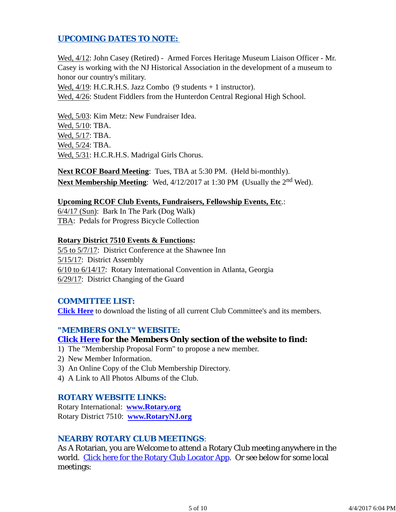## *UPCOMING DATES TO NOTE:*

Wed, 4/12: John Casey (Retired) - Armed Forces Heritage Museum Liaison Officer - Mr. Casey is working with the NJ Historical Association in the development of a museum to honor our country's military.

Wed,  $4/19$ : H.C.R.H.S. Jazz Combo (9 students + 1 instructor).

Wed, 4/26: Student Fiddlers from the Hunterdon Central Regional High School.

Wed, 5/03: Kim Metz: New Fundraiser Idea. Wed, 5/10: TBA. Wed, 5/17: TBA. Wed, 5/24: TBA. Wed, 5/31: H.C.R.H.S. Madrigal Girls Chorus.

**Next RCOF Board Meeting**: Tues, TBA at 5:30 PM. (Held bi-monthly). **Next Membership Meeting**: Wed, 4/12/2017 at 1:30 PM (Usually the 2<sup>nd</sup> Wed).

#### **Upcoming RCOF Club Events, Fundraisers, Fellowship Events, Etc**.:

6/4/17 (Sun): Bark In The Park (Dog Walk) TBA: Pedals for Progress Bicycle Collection

#### **Rotary District 7510 Events & Functions:**

5/5 to 5/7/17: District Conference at the Shawnee Inn 5/15/17: District Assembly 6/10 to 6/14/17: Rotary International Convention in Atlanta, Georgia 6/29/17: District Changing of the Guard

#### *COMMITTEE LIST:*

**Click Here** to download the listing of all current Club Committee's and its members.

### *"MEMBERS ONLY" WEBSITE:*

#### **Click Here for the Members Only section of the website to find:**

- 1) The "Membership Proposal Form" to propose a new member.
- 2) New Member Information.
- 3) An Online Copy of the Club Membership Directory.
- 4) A Link to All Photos Albums of the Club.

#### *ROTARY WEBSITE LINKS:*

Rotary International: **www.Rotary.org** Rotary District 7510: **www.RotaryNJ.org**

#### *NEARBY ROTARY CLUB MEETINGS:*

As A Rotarian, you are Welcome to attend a Rotary Club meeting anywhere in the world. Click here for the Rotary Club Locator App. Or see below for some local meetings: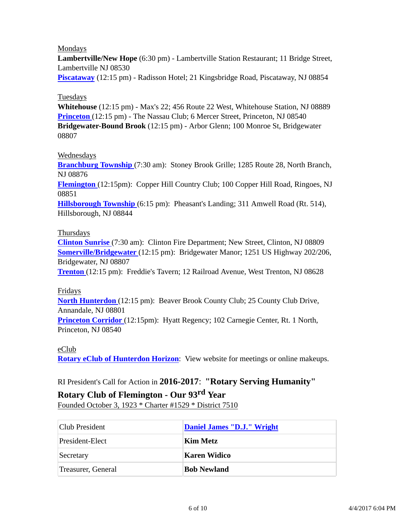### Mondays

**Lambertville/New Hope** (6:30 pm) - Lambertville Station Restaurant; 11 Bridge Street, Lambertville NJ 08530

**Piscataway** (12:15 pm) - Radisson Hotel; 21 Kingsbridge Road, Piscataway, NJ 08854

### Tuesdays

**Whitehouse** (12:15 pm) - Max's 22; 456 Route 22 West, Whitehouse Station, NJ 08889 **Princeton** (12:15 pm) - The Nassau Club; 6 Mercer Street, Princeton, NJ 08540 **Bridgewater-Bound Brook** (12:15 pm) - Arbor Glenn; 100 Monroe St, Bridgewater 08807

#### Wednesdays

**Branchburg Township** (7:30 am): Stoney Brook Grille; 1285 Route 28, North Branch, NJ 08876

**Flemington** (12:15pm): Copper Hill Country Club; 100 Copper Hill Road, Ringoes, NJ 08851

**Hillsborough Township** (6:15 pm): Pheasant's Landing; 311 Amwell Road (Rt. 514), Hillsborough, NJ 08844

#### Thursdays

**Clinton Sunrise** (7:30 am): Clinton Fire Department; New Street, Clinton, NJ 08809 **Somerville/Bridgewater** (12:15 pm): Bridgewater Manor; 1251 US Highway 202/206, Bridgewater, NJ 08807

**Trenton** (12:15 pm): Freddie's Tavern; 12 Railroad Avenue, West Trenton, NJ 08628

#### Fridays

**North Hunterdon** (12:15 pm): Beaver Brook County Club; 25 County Club Drive, Annandale, NJ 08801

**Princeton Corridor** (12:15pm): Hyatt Regency; 102 Carnegie Center, Rt. 1 North, Princeton, NJ 08540

#### eClub

**Rotary eClub of Hunterdon Horizon**: View website for meetings or online makeups.

# RI President's Call for Action in **2016-2017**: **"Rotary Serving Humanity"**

## **Rotary Club of Flemington - Our 93rd Year**

Founded October 3, 1923 \* Charter #1529 \* District 7510

| Club President     | Daniel James "D.J." Wright |
|--------------------|----------------------------|
| President-Elect    | Kim Metz                   |
| Secretary          | <b>Karen Widico</b>        |
| Treasurer, General | <b>Bob Newland</b>         |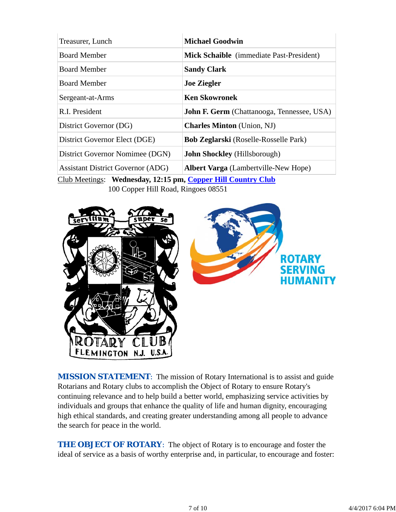| Treasurer, Lunch                         | <b>Michael Goodwin</b>                            |
|------------------------------------------|---------------------------------------------------|
| <b>Board Member</b>                      | Mick Schaible (immediate Past-President)          |
| <b>Board Member</b>                      | <b>Sandy Clark</b>                                |
| <b>Board Member</b>                      | <b>Joe Ziegler</b>                                |
| Sergeant-at-Arms                         | <b>Ken Skowronek</b>                              |
| R.I. President                           | <b>John F. Germ</b> (Chattanooga, Tennessee, USA) |
| District Governor (DG)                   | <b>Charles Minton</b> (Union, NJ)                 |
| District Governor Elect (DGE)            | <b>Bob Zeglarski</b> (Roselle-Rosselle Park)      |
| District Governor Nomimee (DGN)          | John Shockley (Hillsborough)                      |
| <b>Assistant District Governor (ADG)</b> | <b>Albert Varga</b> (Lambertville-New Hope)       |

Club Meetings: **Wednesday, 12:15 pm, Copper Hill Country Club** 100 Copper Hill Road, Ringoes 08551



*MISSION STATEMENT*: The mission of Rotary International is to assist and guide Rotarians and Rotary clubs to accomplish the Object of Rotary to ensure Rotary's continuing relevance and to help build a better world, emphasizing service activities by individuals and groups that enhance the quality of life and human dignity, encouraging high ethical standards, and creating greater understanding among all people to advance the search for peace in the world.

**THE OBJECT OF ROTARY:** The object of Rotary is to encourage and foster the ideal of service as a basis of worthy enterprise and, in particular, to encourage and foster: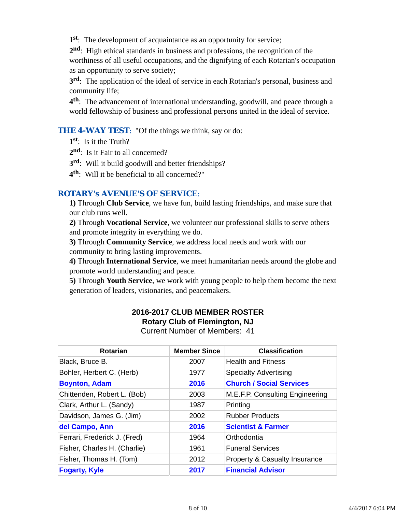**1st**: The development of acquaintance as an opportunity for service;

**2nd**: High ethical standards in business and professions, the recognition of the worthiness of all useful occupations, and the dignifying of each Rotarian's occupation as an opportunity to serve society;

**3rd**: The application of the ideal of service in each Rotarian's personal, business and community life;

**4th**: The advancement of international understanding, goodwill, and peace through a world fellowship of business and professional persons united in the ideal of service.

### **THE 4-WAY TEST:** "Of the things we think, say or do:

**1st**: Is it the Truth?

2<sup>nd</sup>: Is it Fair to all concerned?

**3rd**: Will it build goodwill and better friendships?

**4th**: Will it be beneficial to all concerned?"

## *ROTARY's AVENUE'S OF SERVICE*:

**1)** Through **Club Service**, we have fun, build lasting friendships, and make sure that our club runs well.

**2)** Through **Vocational Service**, we volunteer our professional skills to serve others and promote integrity in everything we do.

**3)** Through **Community Service**, we address local needs and work with our community to bring lasting improvements.

**4)** Through **International Service**, we meet humanitarian needs around the globe and promote world understanding and peace.

**5)** Through **Youth Service**, we work with young people to help them become the next generation of leaders, visionaries, and peacemakers.

# **2016-2017 CLUB MEMBER ROSTER Rotary Club of Flemington, NJ**

Current Number of Members: 41

| Rotarian                     | <b>Member Since</b> | <b>Classification</b>                    |
|------------------------------|---------------------|------------------------------------------|
| Black, Bruce B.              | 2007                | <b>Health and Fitness</b>                |
| Bohler, Herbert C. (Herb)    | 1977                | <b>Specialty Advertising</b>             |
| <b>Boynton, Adam</b>         | 2016                | <b>Church / Social Services</b>          |
| Chittenden, Robert L. (Bob)  | 2003                | M.E.F.P. Consulting Engineering          |
| Clark, Arthur L. (Sandy)     | 1987                | Printing                                 |
| Davidson, James G. (Jim)     | 2002                | <b>Rubber Products</b>                   |
| del Campo, Ann               | 2016                | <b>Scientist &amp; Farmer</b>            |
| Ferrari, Frederick J. (Fred) | 1964                | Orthodontia                              |
| Fisher, Charles H. (Charlie) | 1961                | <b>Funeral Services</b>                  |
| Fisher, Thomas H. (Tom)      | 2012                | <b>Property &amp; Casualty Insurance</b> |
| <b>Fogarty, Kyle</b>         | 2017                | <b>Financial Advisor</b>                 |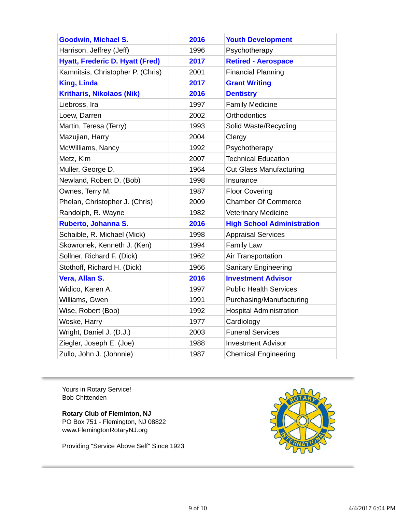| <b>Goodwin, Michael S.</b>             | 2016 | <b>Youth Development</b>          |
|----------------------------------------|------|-----------------------------------|
| Harrison, Jeffrey (Jeff)               | 1996 | Psychotherapy                     |
| <b>Hyatt, Frederic D. Hyatt (Fred)</b> | 2017 | <b>Retired - Aerospace</b>        |
| Kamnitsis, Christopher P. (Chris)      | 2001 | <b>Financial Planning</b>         |
| <b>King, Linda</b>                     | 2017 | <b>Grant Writing</b>              |
| <b>Kritharis, Nikolaos (Nik)</b>       | 2016 | <b>Dentistry</b>                  |
| Liebross, Ira                          | 1997 | <b>Family Medicine</b>            |
| Loew, Darren                           | 2002 | <b>Orthodontics</b>               |
| Martin, Teresa (Terry)                 | 1993 | Solid Waste/Recycling             |
| Mazujian, Harry                        | 2004 | Clergy                            |
| McWilliams, Nancy                      | 1992 | Psychotherapy                     |
| Metz, Kim                              | 2007 | <b>Technical Education</b>        |
| Muller, George D.                      | 1964 | <b>Cut Glass Manufacturing</b>    |
| Newland, Robert D. (Bob)               | 1998 | Insurance                         |
| Ownes, Terry M.                        | 1987 | <b>Floor Covering</b>             |
| Phelan, Christopher J. (Chris)         | 2009 | <b>Chamber Of Commerce</b>        |
| Randolph, R. Wayne                     | 1982 | <b>Veterinary Medicine</b>        |
| Ruberto, Johanna S.                    | 2016 | <b>High School Administration</b> |
| Schaible, R. Michael (Mick)            | 1998 | <b>Appraisal Services</b>         |
| Skowronek, Kenneth J. (Ken)            | 1994 | <b>Family Law</b>                 |
| Sollner, Richard F. (Dick)             | 1962 | Air Transportation                |
| Stothoff, Richard H. (Dick)            | 1966 | <b>Sanitary Engineering</b>       |
| Vera, Allan S.                         | 2016 | <b>Investment Advisor</b>         |
| Widico, Karen A.                       | 1997 | <b>Public Health Services</b>     |
| Williams, Gwen                         | 1991 | Purchasing/Manufacturing          |
| Wise, Robert (Bob)                     | 1992 | <b>Hospital Administration</b>    |
| Woske, Harry                           | 1977 | Cardiology                        |
| Wright, Daniel J. (D.J.)               | 2003 | <b>Funeral Services</b>           |
| Ziegler, Joseph E. (Joe)               | 1988 | <b>Investment Advisor</b>         |
| Zullo, John J. (Johnnie)               | 1987 | <b>Chemical Engineering</b>       |

Yours in Rotary Service! Bob Chittenden

**Rotary Club of Fleminton, NJ** PO Box 751 - Flemington, NJ 08822 www.FlemingtonRotaryNJ.org

Providing "Service Above Self" Since 1923